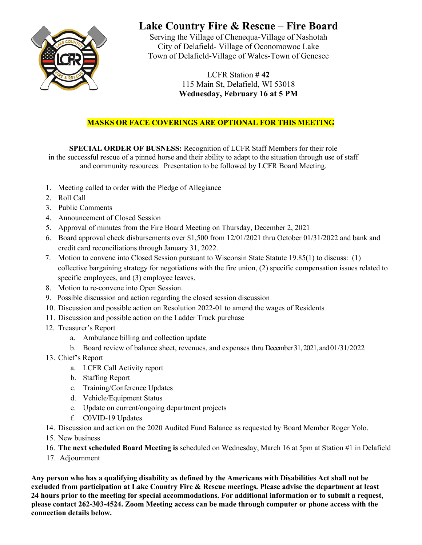

## **Lake Country Fire & Rescue** – **Fire Board**

Serving the Village of Chenequa-Village of Nashotah City of Delafield- Village of Oconomowoc Lake Town of Delafield-Village of Wales-Town of Genesee

> LCFR Station **# 42**  115 Main St, Delafield, WI 53018 **Wednesday, February 16 at 5 PM**

## **MASKS OR FACE COVERINGS ARE OPTIONAL FOR THIS MEETING**

**SPECIAL ORDER OF BUSNESS:** Recognition of LCFR Staff Members for their role in the successful rescue of a pinned horse and their ability to adapt to the situation through use of staff and community resources. Presentation to be followed by LCFR Board Meeting.

- 1. Meeting called to order with the Pledge of Allegiance
- 2. Roll Call
- 3. Public Comments
- 4. Announcement of Closed Session
- 5. Approval of minutes from the Fire Board Meeting on Thursday, December 2, 2021
- 6. Board approval check disbursements over \$1,500 from 12/01/2021 thru October 01/31/2022 and bank and credit card reconciliations through January 31, 2022.
- 7. Motion to convene into Closed Session pursuant to Wisconsin State Statute 19.85(1) to discuss: (1) collective bargaining strategy for negotiations with the fire union, (2) specific compensation issues related to specific employees, and (3) employee leaves.
- 8. Motion to re-convene into Open Session.
- 9. Possible discussion and action regarding the closed session discussion
- 10. Discussion and possible action on Resolution 2022-01 to amend the wages of Residents
- 11. Discussion and possible action on the Ladder Truck purchase
- 12. Treasurer's Report
	- a. Ambulance billing and collection update
	- b. Board review of balance sheet, revenues, and expenses thru December 31, 2021, and 01/31/2022
- 13. Chief's Report
	- a. LCFR Call Activity report
	- b. Staffing Report
	- c. Training/Conference Updates
	- d. Vehicle/Equipment Status
	- e. Update on current/ongoing department projects
	- f. C0VID-19 Updates
- 14. Discussion and action on the 2020 Audited Fund Balance as requested by Board Member Roger Yolo.
- 15. New business
- 16. **The next scheduled Board Meeting is** scheduled on Wednesday, March 16 at 5pm at Station #1 in Delafield
- 17. Adjournment

**Any person who has a qualifying disability as defined by the Americans with Disabilities Act shall not be excluded from participation at Lake Country Fire & Rescue meetings. Please advise the department at least 24 hours prior to the meeting for special accommodations. For additional information or to submit a request, please contact 262-303-4524. Zoom Meeting access can be made through computer or phone access with the connection details below.**